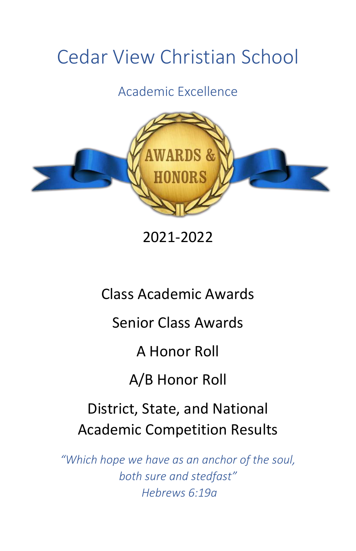# Cedar View Christian School

Academic Excellence



2021-2022

Class Academic Awards

Senior Class Awards

A Honor Roll

A/B Honor Roll

District, State, and National Academic Competition Results

*"Which hope we have as an anchor of the soul, both sure and stedfast" Hebrews 6:19a*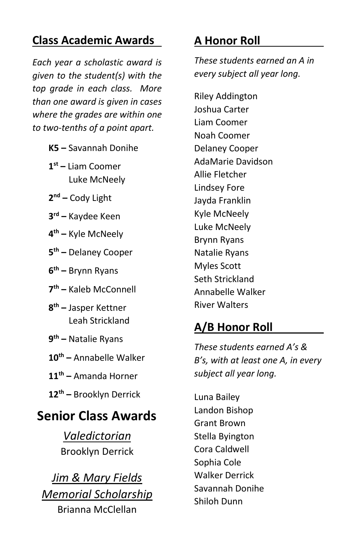# **Class Academic Awards**

*Each year a scholastic award is given to the student(s) with the top grade in each class. More than one award is given in cases where the grades are within one to two-tenths of a point apart.*

- **K5 –** Savannah Donihe
- **1 st –** Liam Coomer Luke McNeely
- **2 nd –** Cody Light
- **3 rd –** Kaydee Keen
- **4 th –** Kyle McNeely
- **5 th –** Delaney Cooper
- **6 th –** Brynn Ryans
- **7 th –** Kaleb McConnell
- **8 th –** Jasper Kettner Leah Strickland
- **9 th –** Natalie Ryans
- **10th –** Annabelle Walker
- **11th –** Amanda Horner
- **12th –** Brooklyn Derrick

# **Senior Class Awards**

*Valedictorian* Brooklyn Derrick

*Jim & Mary Fields Memorial Scholarship* Brianna McClellan

# **A Honor Roll**

*These students earned an A in every subject all year long.*

Riley Addington Joshua Carter Liam Coomer Noah Coomer Delaney Cooper AdaMarie Davidson Allie Fletcher Lindsey Fore Jayda Franklin Kyle McNeely Luke McNeely Brynn Ryans Natalie Ryans Myles Scott Seth Strickland Annabelle Walker River Walters

# **A/B Honor Roll**

*These students earned A's & B's, with at least one A, in every subject all year long.*

Luna Bailey Landon Bishop Grant Brown Stella Byington Cora Caldwell Sophia Cole Walker Derrick Savannah Donihe Shiloh Dunn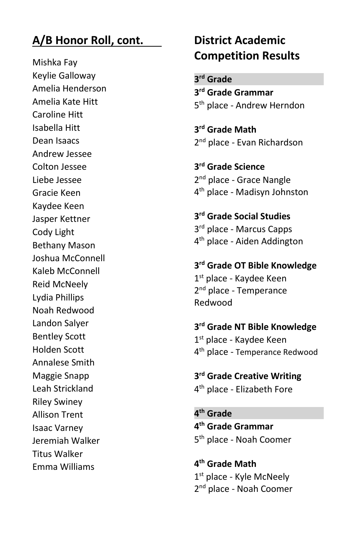## **A/B Honor Roll, cont.**

Mishka Fay Keylie Galloway Amelia Henderson Amelia Kate Hitt Caroline Hitt Isabella Hitt Dean Isaacs Andrew Jessee Colton Jessee Liebe Jessee Gracie Keen Kaydee Keen Jasper Kettner Cody Light Bethany Mason Joshua McConnell Kaleb McConnell Reid McNeely Lydia Phillips Noah Redwood Landon Salyer Bentley Scott Holden Scott Annalese Smith Maggie Snapp Leah Strickland Riley Swiney Allison Trent Isaac Varney Jeremiah Walker Titus Walker Emma Williams

# **District Academic Competition Results**

**3 rd Grade 3 rd Grade Grammar** 5<sup>th</sup> place - Andrew Herndon

**3 rd Grade Math** 2<sup>nd</sup> place - Evan Richardson

**3 rd Grade Science** 2<sup>nd</sup> place - Grace Nangle 4 th place - Madisyn Johnston

**3 rd Grade Social Studies** 3<sup>rd</sup> place - Marcus Capps 4<sup>th</sup> place - Aiden Addington

**3 rd Grade OT Bible Knowledge** 1<sup>st</sup> place - Kaydee Keen 2<sup>nd</sup> place - Temperance Redwood

**3 rd Grade NT Bible Knowledge** 1<sup>st</sup> place - Kaydee Keen 4<sup>th</sup> place - Temperance Redwood

#### **3 rd Grade Creative Writing**

4<sup>th</sup> place - Elizabeth Fore

**4 th Grade 4 th Grade Grammar** 5 th place - Noah Coomer

**4 th Grade Math** 1<sup>st</sup> place - Kyle McNeely 2<sup>nd</sup> place - Noah Coomer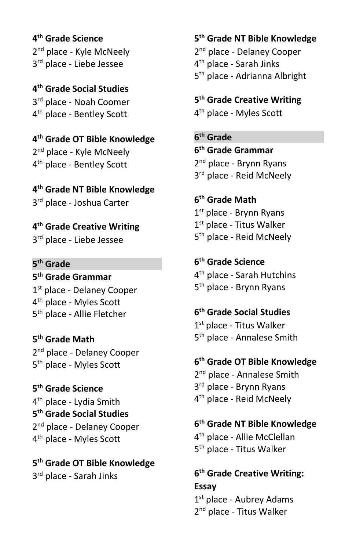**4 th Grade Science** 2<sup>nd</sup> place - Kyle McNeely 3 rd place - Liebe Jessee

**4 th Grade Social Studies** 3 rd place - Noah Coomer 4 th place - Bentley Scott

**4 th Grade OT Bible Knowledge** 2<sup>nd</sup> place - Kyle McNeely 4 th place - Bentley Scott

**4 th Grade NT Bible Knowledge** 3<sup>rd</sup> place - Joshua Carter

**4 th Grade Creative Writing** 3 rd place - Liebe Jessee

**5 th Grade**

**5 th Grade Grammar** 1st place - Delaney Cooper 4<sup>th</sup> place - Myles Scott 5<sup>th</sup> place - Allie Fletcher

**5 th Grade Math** 2<sup>nd</sup> place - Delaney Cooper 5<sup>th</sup> place - Myles Scott

**5 th Grade Science** 4<sup>th</sup> place - Lydia Smith **5 th Grade Social Studies** 2<sup>nd</sup> place - Delaney Cooper 4<sup>th</sup> place - Myles Scott

**5 th Grade OT Bible Knowledge** 3 rd place - Sarah Jinks

**5 th Grade NT Bible Knowledge** 2<sup>nd</sup> place - Delaney Cooper 4 th place - Sarah Jinks 5<sup>th</sup> place - Adrianna Albright

**5 th Grade Creative Writing**

4<sup>th</sup> place - Myles Scott

**6 th Grade**

**6 th Grade Grammar** 2<sup>nd</sup> place - Brynn Ryans 3<sup>rd</sup> place - Reid McNeely

**6 th Grade Math**

1 st place - Brynn Ryans 1<sup>st</sup> place - Titus Walker 5<sup>th</sup> place - Reid McNeely

**6 th Grade Science** 4 th place - Sarah Hutchins 5 th place - Brynn Ryans

**6 th Grade Social Studies** 1<sup>st</sup> place - Titus Walker 5<sup>th</sup> place - Annalese Smith

**6 th Grade OT Bible Knowledge** 2<sup>nd</sup> place - Annalese Smith 3 rd place - Brynn Ryans 4<sup>th</sup> place - Reid McNeely

**6 th Grade NT Bible Knowledge** 4<sup>th</sup> place - Allie McClellan 5<sup>th</sup> place - Titus Walker

**6 th Grade Creative Writing: Essay**

1<sup>st</sup> place - Aubrey Adams 2<sup>nd</sup> place - Titus Walker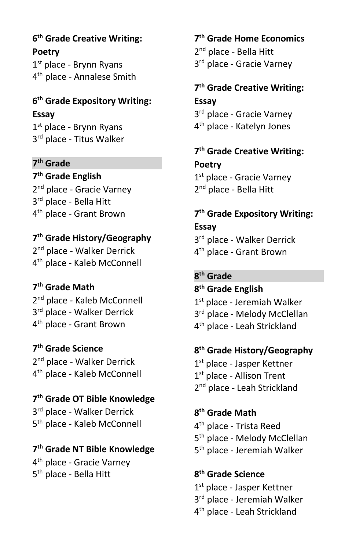**6 th Grade Creative Writing: Poetry**

1<sup>st</sup> place - Brynn Ryans 4<sup>th</sup> place - Annalese Smith

### **6 th Grade Expository Writing: Essay**

1<sup>st</sup> place - Brynn Ryans 3<sup>rd</sup> place - Titus Walker

#### **7 th Grade**

**7 th Grade English** 2<sup>nd</sup> place - Gracie Varney 3<sup>rd</sup> place - Bella Hitt 4 th place - Grant Brown

#### **7 th Grade History/Geography**

2<sup>nd</sup> place - Walker Derrick 4 th place - Kaleb McConnell

#### **7 th Grade Math**

2<sup>nd</sup> place - Kaleb McConnell 3<sup>rd</sup> place - Walker Derrick 4 th place - Grant Brown

**7 th Grade Science** 2<sup>nd</sup> place - Walker Derrick 4 th place - Kaleb McConnell

**7 th Grade OT Bible Knowledge** 3<sup>rd</sup> place - Walker Derrick 5 th place - Kaleb McConnell

# **7 th Grade NT Bible Knowledge**

4 th place - Gracie Varney 5<sup>th</sup> place - Bella Hitt

**7 th Grade Home Economics** 2<sup>nd</sup> place - Bella Hitt 3<sup>rd</sup> place - Gracie Varney

**7 th Grade Creative Writing: Essay** 3<sup>rd</sup> place - Gracie Varney

4 th place - Katelyn Jones

#### **7 th Grade Creative Writing: Poetry**

1st place - Gracie Varney 2<sup>nd</sup> place - Bella Hitt

**7 th Grade Expository Writing: Essay**

3 rd place - Walker Derrick 4 th place - Grant Brown

#### **8 th Grade**

**8 th Grade English** 1 st place - Jeremiah Walker 3<sup>rd</sup> place - Melody McClellan 4<sup>th</sup> place - Leah Strickland

**8 th Grade History/Geography** 1<sup>st</sup> place - Jasper Kettner 1<sup>st</sup> place - Allison Trent 2<sup>nd</sup> place - Leah Strickland

**8 th Grade Math** 4<sup>th</sup> place - Trista Reed 5<sup>th</sup> place - Melody McClellan 5<sup>th</sup> place - Jeremiah Walker

#### **8 th Grade Science**

1<sup>st</sup> place - Jasper Kettner 3<sup>rd</sup> place - Jeremiah Walker 4 th place - Leah Strickland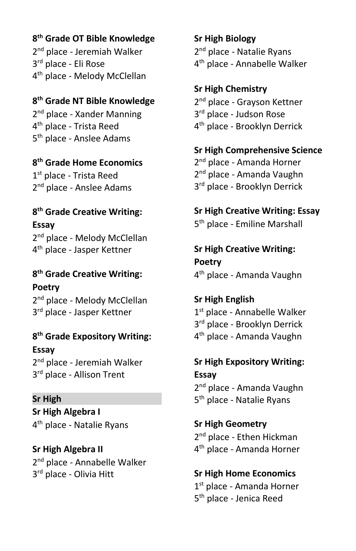#### **8 th Grade OT Bible Knowledge**

2<sup>nd</sup> place - Jeremiah Walker 3 rd place - Eli Rose 4<sup>th</sup> place - Melody McClellan

#### **8 th Grade NT Bible Knowledge** 2<sup>nd</sup> place - Xander Manning 4<sup>th</sup> place - Trista Reed 5<sup>th</sup> place - Anslee Adams

# **8 th Grade Home Economics**

1<sup>st</sup> place - Trista Reed 2<sup>nd</sup> place - Anslee Adams

# **8 th Grade Creative Writing: Essay**

2<sup>nd</sup> place - Melody McClellan 4<sup>th</sup> place - Jasper Kettner

**8 th Grade Creative Writing: Poetry** 2<sup>nd</sup> place - Melody McClellan 3<sup>rd</sup> place - Jasper Kettner

**8 th Grade Expository Writing: Essay** 2<sup>nd</sup> place - Jeremiah Walker 3<sup>rd</sup> place - Allison Trent

# **Sr High**

**Sr High Algebra I** 4<sup>th</sup> place - Natalie Ryans

**Sr High Algebra II** 2<sup>nd</sup> place - Annabelle Walker 3<sup>rd</sup> place - Olivia Hitt

**Sr High Biology** 2<sup>nd</sup> place - Natalie Ryans 4<sup>th</sup> place - Annabelle Walker

#### **Sr High Chemistry**

2<sup>nd</sup> place - Grayson Kettner 3 rd place - Judson Rose 4 th place - Brooklyn Derrick

**Sr High Comprehensive Science** 2<sup>nd</sup> place - Amanda Horner 2<sup>nd</sup> place - Amanda Vaughn 3<sup>rd</sup> place - Brooklyn Derrick

**Sr High Creative Writing: Essay** 5<sup>th</sup> place - Emiline Marshall

**Sr High Creative Writing: Poetry** 4 th place - Amanda Vaughn

**Sr High English** 1st place - Annabelle Walker 3<sup>rd</sup> place - Brooklyn Derrick 4 th place - Amanda Vaughn

**Sr High Expository Writing: Essay** 2<sup>nd</sup> place - Amanda Vaughn

5<sup>th</sup> place - Natalie Ryans

**Sr High Geometry** 2<sup>nd</sup> place - Ethen Hickman 4 th place - Amanda Horner

**Sr High Home Economics**

1<sup>st</sup> place - Amanda Horner 5 th place - Jenica Reed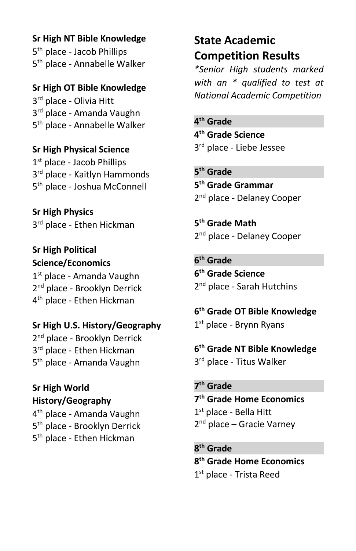**Sr High NT Bible Knowledge**

5<sup>th</sup> place - Jacob Phillips 5<sup>th</sup> place - Annabelle Walker

**Sr High OT Bible Knowledge** 3<sup>rd</sup> place - Olivia Hitt 3 rd place - Amanda Vaughn 5<sup>th</sup> place - Annabelle Walker

**Sr High Physical Science** 1<sup>st</sup> place - Jacob Phillips 3 rd place - Kaitlyn Hammonds 5<sup>th</sup> place - Joshua McConnell

**Sr High Physics** 3<sup>rd</sup> place - Ethen Hickman

**Sr High Political Science/Economics** 1 st place - Amanda Vaughn 2<sup>nd</sup> place - Brooklyn Derrick 4<sup>th</sup> place - Ethen Hickman

**Sr High U.S. History/Geography** 2<sup>nd</sup> place - Brooklyn Derrick

3<sup>rd</sup> place - Ethen Hickman 5 th place - Amanda Vaughn

# **Sr High World History/Geography**

4 th place - Amanda Vaughn 5<sup>th</sup> place - Brooklyn Derrick 5<sup>th</sup> place - Ethen Hickman

# **State Academic Competition Results**

*\*Senior High students marked with an \* qualified to test at National Academic Competition*

**4 th Grade 4 th Grade Science** 3<sup>rd</sup> place - Liebe Jessee

**5 th Grade 5 th Grade Grammar** 2<sup>nd</sup> place - Delaney Cooper

**5 th Grade Math** 2<sup>nd</sup> place - Delaney Cooper

**6 th Grade 6 th Grade Science** 2<sup>nd</sup> place - Sarah Hutchins

**6 th Grade OT Bible Knowledge** 1<sup>st</sup> place - Brynn Ryans

**6 th Grade NT Bible Knowledge** 3<sup>rd</sup> place - Titus Walker

**7 th Grade 7 th Grade Home Economics** 1<sup>st</sup> place - Bella Hitt 2<sup>nd</sup> place – Gracie Varney

**8 th Grade 8 th Grade Home Economics** 1<sup>st</sup> place - Trista Reed